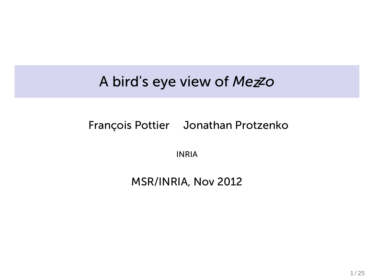## A bird's eye view of *Mezzo*

#### François Pottier Jonathan Protzenko

INRIA

### MSR/INRIA, Nov 2012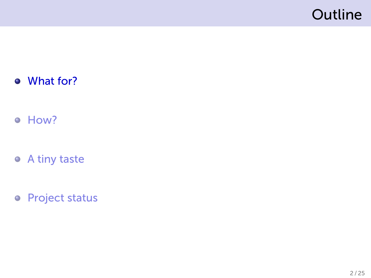# Outline

- What for?
- How?
- A tiny taste
- Project status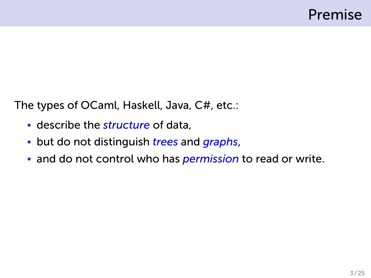The types of OCaml, Haskell, Java, C#, etc.:

- describe the *structure* of data,
- but do not distinguish *trees* and *graphs*,
- and do not control who has *permission* to read or write.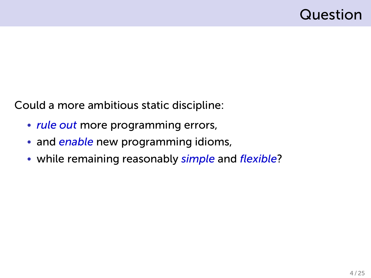## Question

Could a more ambitious static discipline:

- *rule out* more programming errors,
- and *enable* new programming idioms,
- while remaining reasonably *simple* and *flexible*?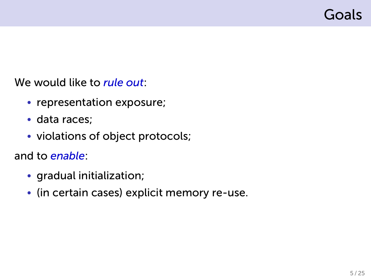## Goals

We would like to *rule out*:

- representation exposure;
- data races;
- violations of object protocols;

and to *enable*:

- gradual initialization;
- (in certain cases) explicit memory re-use.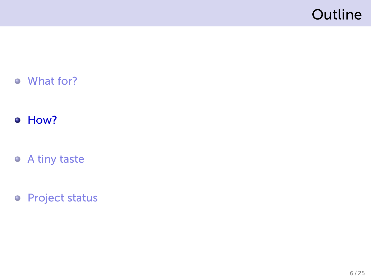# Outline

- What for?
- o How?
- A tiny taste
- Project status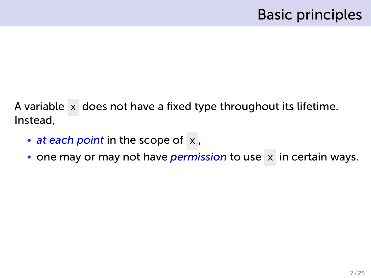A variable x does not have a fixed type throughout its lifetime. Instead,

- *at each point* in the scope of x,
- one may or may not have *permission* to use x in certain ways.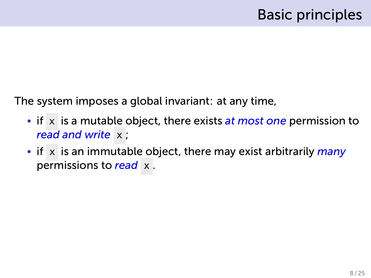The system imposes a global invariant: at any time,

- if x is a mutable object, there exists *at most one* permission to *read and write* x ;
- if x is an immutable object, there may exist arbitrarily *many* permissions to *read* x .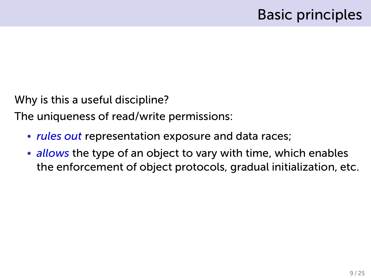Why is this a useful discipline?

The uniqueness of read/write permissions:

- *rules out* representation exposure and data races;
- *allows* the type of an object to vary with time, which enables the enforcement of object protocols, gradual initialization, etc.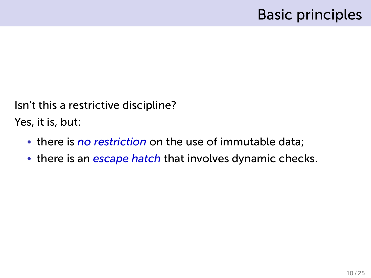Isn't this a restrictive discipline?

Yes, it is, but:

- there is *no restriction* on the use of immutable data;
- there is an *escape hatch* that involves dynamic checks.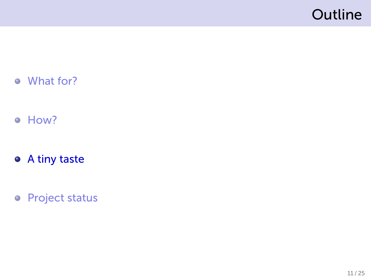# Outline

- What for?
- How?
- A tiny taste
- Project status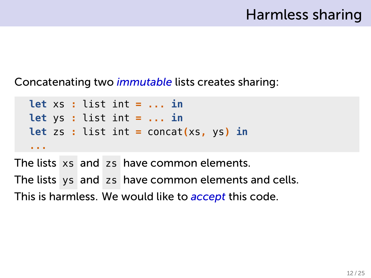Concatenating two *immutable* lists creates sharing:

```
let xs : list int = ... in
let ys : list int = ... in
let zs : list int = concat(xs, ys) in
...
```
The lists xs and zs have common elements. The lists ys and zs have common elements and cells. This is harmless. We would like to *accept* this code.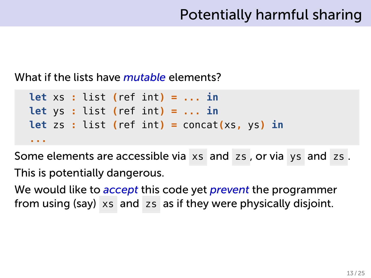What if the lists have *mutable* elements?

```
let xs : list (ref int) = ... in
let ys : list (ref int) = ... in
let zs : list (ref int) = concat(xs, ys) in
...
```
Some elements are accessible via xs and zs , or via ys and zs . This is potentially dangerous.

We would like to *accept* this code yet *prevent* the programmer from using (say) xs and zs as if they were physically disjoint.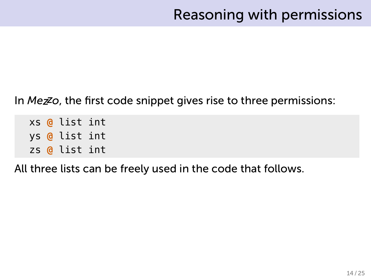#### In *Mezzo*, the first code snippet gives rise to three permissions:

xs **@** list int ys **@** list int zs **@** list int

All three lists can be freely used in the code that follows.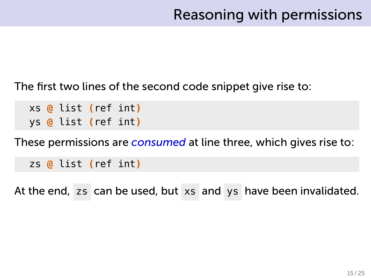The first two lines of the second code snippet give rise to:

xs **@** list **(**ref int**)** ys **@** list **(**ref int**)**

These permissions are *consumed* at line three, which gives rise to:

zs **@** list **(**ref int**)**

At the end, zs can be used, but xs and ys have been invalidated.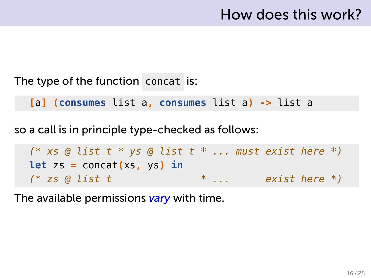#### The type of the function concat is:

**[**a**] (consumes** list a**, consumes** list a**) ->** list a

so a call is in principle type-checked as follows:

*(\* xs @ list t \* ys @ list t \* ... must exist here \*)* **let** zs **=** concat**(**xs**,** ys**) in** *(\* zs @ list t \* ... exist here \*)*

The available permissions *vary* with time.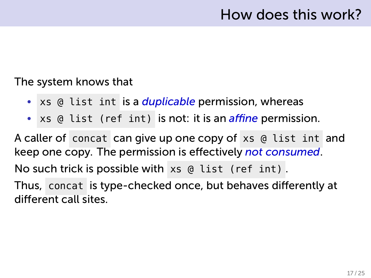#### The system knows that

- xs @ list int is a *duplicable* permission, whereas
- xs @ list (ref int) is not: it is an *affine* permission.

A caller of concat can give up one copy of xs @ list int and keep one copy. The permission is effectively *not consumed*.

No such trick is possible with xs @ list (ref int) .

Thus, concat is type-checked once, but behaves differently at different call sites.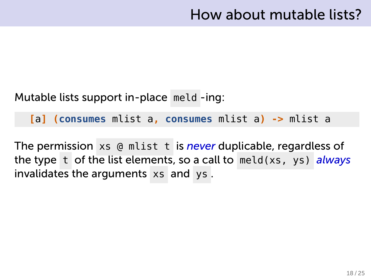Mutable lists support in-place meld -ing:

**[**a**] (consumes** mlist a**, consumes** mlist a**) ->** mlist a

The permission xs @ mlist t is *never* duplicable, regardless of the type t of the list elements, so a call to meld(xs, ys) *always* invalidates the arguments xs and ys .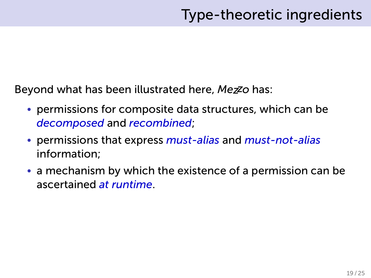Beyond what has been illustrated here, *Mezzo* has:

- permissions for composite data structures, which can be *decomposed* and *recombined*;
- permissions that express *must-alias* and *must-not-alias* information;
- a mechanism by which the existence of a permission can be ascertained *at runtime*.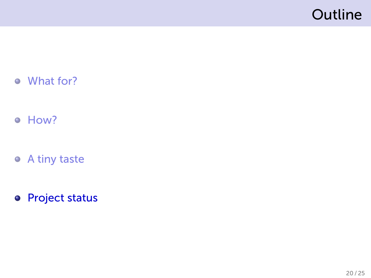# Outline

- What for?
- How?
- A tiny taste
- **•** Project status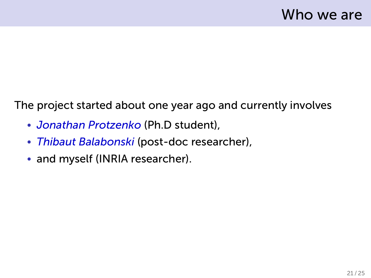The project started about one year ago and currently involves

- *Jonathan Protzenko* (Ph.D student),
- *Thibaut Balabonski* (post-doc researcher),
- and myself (INRIA researcher).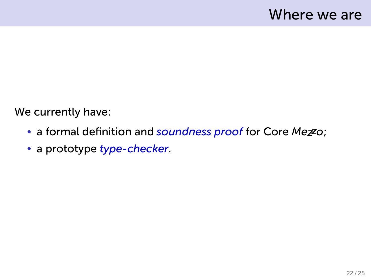We currently have:

- a formal definition and *soundness proof* for Core *Mezzo*;
- a prototype *type-checker*.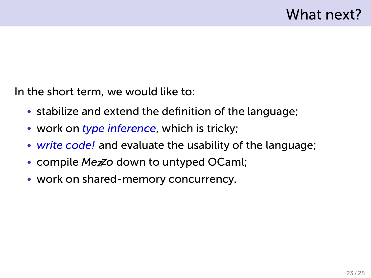In the short term, we would like to:

- stabilize and extend the definition of the language;
- work on *type inference*, which is tricky;
- *write code!* and evaluate the usability of the language;
- compile *Mezzo* down to untyped OCaml;
- work on shared-memory concurrency.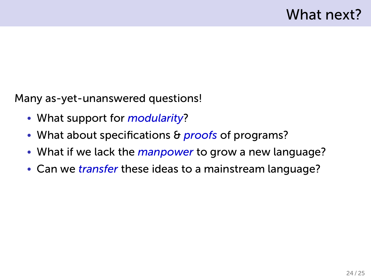Many as-yet-unanswered questions!

- What support for *modularity*?
- What about specifications & *proofs* of programs?
- What if we lack the *manpower* to grow a new language?
- Can we *transfer* these ideas to a mainstream language?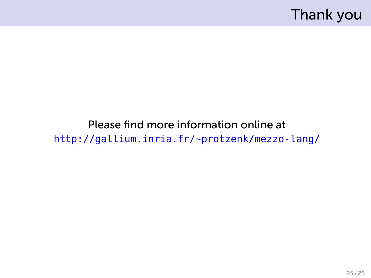Thank you

Please find more information online at http://gallium.inria.fr/~protzenk/mezzo-lang/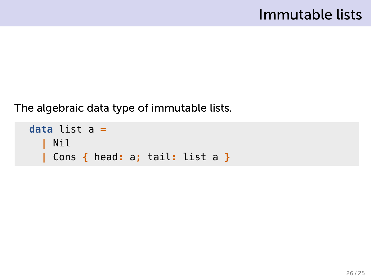## Immutable lists

The algebraic data type of immutable lists.

```
data list a =
  | Nil
  | Cons { head: a; tail: list a }
```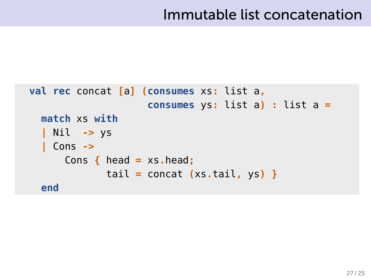## Immutable list concatenation

```
val rec concat [a] (consumes xs: list a,
                    consumes ys: list a) : list a =
  match xs with
  | Nil -> ys
  | Cons ->
      Cons { head = xs.head;
             tail = concat (xs.tail, ys) }
  end
```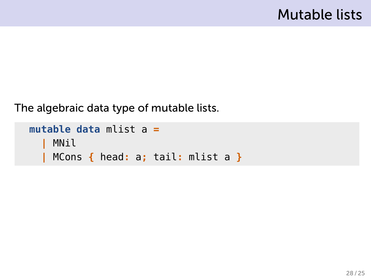The algebraic data type of mutable lists.

```
mutable data mlist a =
    | MNil
  | MCons { head: a; tail: mlist a }
```